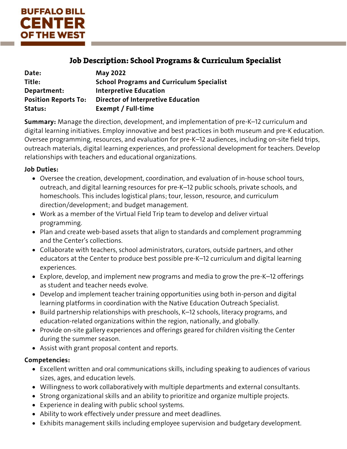

# Job Description: School Programs & Curriculum Specialist

| Date:                       | <b>May 2022</b>                                  |
|-----------------------------|--------------------------------------------------|
| Title:                      | <b>School Programs and Curriculum Specialist</b> |
| Department:                 | <b>Interpretive Education</b>                    |
| <b>Position Reports To:</b> | <b>Director of Interpretive Education</b>        |
| Status:                     | Exempt / Full-time                               |

**Summary:** Manage the direction, development, and implementation of pre-K–12 curriculum and digital learning initiatives. Employ innovative and best practices in both museum and pre-K education. Oversee programming, resources, and evaluation for pre-K–12 audiences, including on-site field trips, outreach materials, digital learning experiences, and professional development for teachers. Develop relationships with teachers and educational organizations.

#### **Job Duties:**

- Oversee the creation, development, coordination, and evaluation of in-house school tours, outreach, and digital learning resources for pre-K–12 public schools, private schools, and homeschools. This includes logistical plans; tour, lesson, resource, and curriculum direction/development; and budget management.
- Work as a member of the Virtual Field Trip team to develop and deliver virtual programming.
- Plan and create web-based assets that align to standards and complement programming and the Center's collections.
- Collaborate with teachers, school administrators, curators, outside partners, and other educators at the Center to produce best possible pre-K–12 curriculum and digital learning experiences.
- Explore, develop, and implement new programs and media to grow the pre-K–12 offerings as student and teacher needs evolve.
- Develop and implement teacher training opportunities using both in-person and digital learning platforms in coordination with the Native Education Outreach Specialist.
- Build partnership relationships with preschools, K–12 schools, literacy programs, and education-related organizations within the region, nationally, and globally.
- Provide on-site gallery experiences and offerings geared for children visiting the Center during the summer season.
- Assist with grant proposal content and reports.

#### **Competencies:**

- Excellent written and oral communications skills, including speaking to audiences of various sizes, ages, and education levels.
- Willingness to work collaboratively with multiple departments and external consultants.
- Strong organizational skills and an ability to prioritize and organize multiple projects.
- Experience in dealing with public school systems.
- Ability to work effectively under pressure and meet deadlines.
- Exhibits management skills including employee supervision and budgetary development.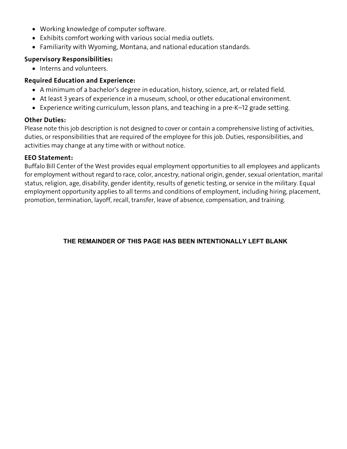- Working knowledge of computer software.
- Exhibits comfort working with various social media outlets.
- Familiarity with Wyoming, Montana, and national education standards.

## **Supervisory Responsibilities:**

• Interns and volunteers.

## **Required Education and Experience:**

- A minimum of a bachelor's degree in education, history, science, art, or related field.
- At least 3 years of experience in a museum, school, or other educational environment.
- Experience writing curriculum, lesson plans, and teaching in a pre-K–12 grade setting.

# **Other Duties:**

Please note this job description is not designed to cover or contain a comprehensive listing of activities, duties, or responsibilities that are required of the employee for this job. Duties, responsibilities, and activities may change at any time with or without notice.

#### **EEO Statement:**

Buffalo Bill Center of the West provides equal employment opportunities to all employees and applicants for employment without regard to race, color, ancestry, national origin, gender, sexual orientation, marital status, religion, age, disability, gender identity, results of genetic testing, or service in the military. Equal employment opportunity applies to all terms and conditions of employment, including hiring, placement, promotion, termination, layoff, recall, transfer, leave of absence, compensation, and training.

#### **THE REMAINDER OF THIS PAGE HAS BEEN INTENTIONALLY LEFT BLANK**